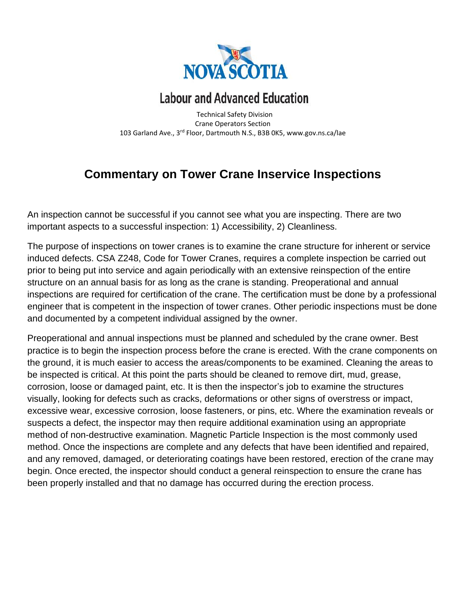

## **Labour and Advanced Education**

 Technical Safety Division Crane Operators Section 103 Garland Ave., 3rd Floor, Dartmouth N.S., B3B 0K5, www.gov.ns.ca/lae

## **Commentary on Tower Crane Inservice Inspections**

An inspection cannot be successful if you cannot see what you are inspecting. There are two important aspects to a successful inspection: 1) Accessibility, 2) Cleanliness.

The purpose of inspections on tower cranes is to examine the crane structure for inherent or service induced defects. CSA Z248, Code for Tower Cranes, requires a complete inspection be carried out prior to being put into service and again periodically with an extensive reinspection of the entire structure on an annual basis for as long as the crane is standing. Preoperational and annual inspections are required for certification of the crane. The certification must be done by a professional engineer that is competent in the inspection of tower cranes. Other periodic inspections must be done and documented by a competent individual assigned by the owner.

Preoperational and annual inspections must be planned and scheduled by the crane owner. Best practice is to begin the inspection process before the crane is erected. With the crane components on the ground, it is much easier to access the areas/components to be examined. Cleaning the areas to be inspected is critical. At this point the parts should be cleaned to remove dirt, mud, grease, corrosion, loose or damaged paint, etc. It is then the inspector's job to examine the structures visually, looking for defects such as cracks, deformations or other signs of overstress or impact, excessive wear, excessive corrosion, loose fasteners, or pins, etc. Where the examination reveals or suspects a defect, the inspector may then require additional examination using an appropriate method of non-destructive examination. Magnetic Particle Inspection is the most commonly used method. Once the inspections are complete and any defects that have been identified and repaired, and any removed, damaged, or deteriorating coatings have been restored, erection of the crane may begin. Once erected, the inspector should conduct a general reinspection to ensure the crane has been properly installed and that no damage has occurred during the erection process.